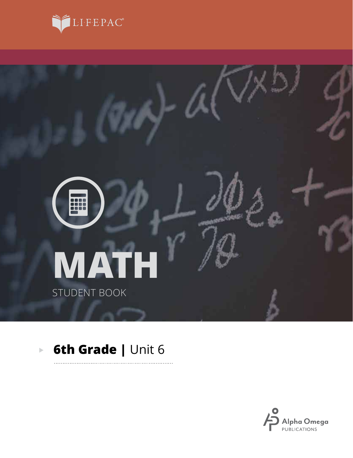



. . . . . . . .

#### **6th Grade |** Unit 6 $\overline{\mathbb{P}}$

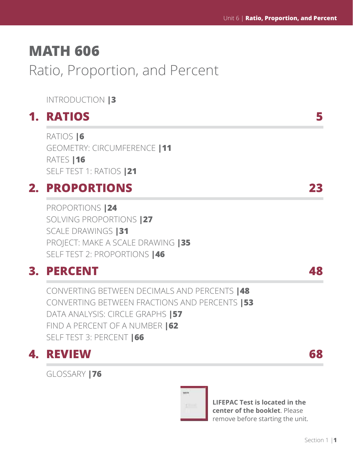# **MATH 606**

# Ratio, Proportion, and Percent

# INTRODUCTION **|3**

# **1. RATIOS 5**

RATIOS **|6** GEOMETRY: CIRCUMFERENCE **|11** RATES **|16** SELF TEST 1: RATIOS **|21**

# **2. PROPORTIONS 23**

PROPORTIONS **|24** SOLVING PROPORTIONS **|27** SCALE DRAWINGS **|31** PROJECT: MAKE A SCALE DRAWING **|35** SELF TEST 2: PROPORTIONS **|46**

# **3. PERCENT 48**

CONVERTING BETWEEN DECIMALS AND PERCENTS **|48** CONVERTING BETWEEN FRACTIONS AND PERCENTS **|53** DATA ANALYSIS: CIRCLE GRAPHS **|57** FIND A PERCENT OF A NUMBER **|62** SELF TEST 3: PERCENT **|66**

# **4. REVIEW 68**

GLOSSARY **|76**



**LIFEPAC Test is located in the center of the booklet**. Please remove before starting the unit.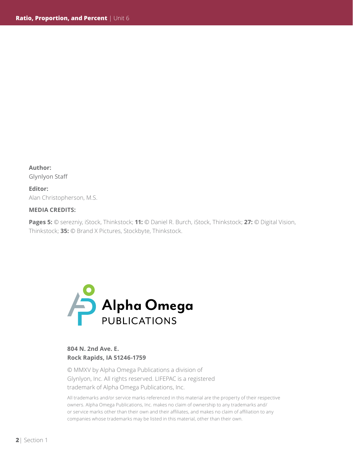**Author:**  Glynlyon Staff

**Editor:** Alan Christopherson, M.S.

#### **MEDIA CREDITS:**

**Pages 5:** © serezniy, iStock, Thinkstock; **11:** © Daniel R. Burch, iStock, Thinkstock; **27:** © Digital Vision, Thinkstock; **35:** © Brand X Pictures, Stockbyte, Thinkstock.



### **804 N. 2nd Ave. E. Rock Rapids, IA 51246-1759**

© MMXV by Alpha Omega Publications a division of Glynlyon, Inc. All rights reserved. LIFEPAC is a registered trademark of Alpha Omega Publications, Inc.

All trademarks and/or service marks referenced in this material are the property of their respective owners. Alpha Omega Publications, Inc. makes no claim of ownership to any trademarks and/ or service marks other than their own and their affiliates, and makes no claim of affiliation to any companies whose trademarks may be listed in this material, other than their own.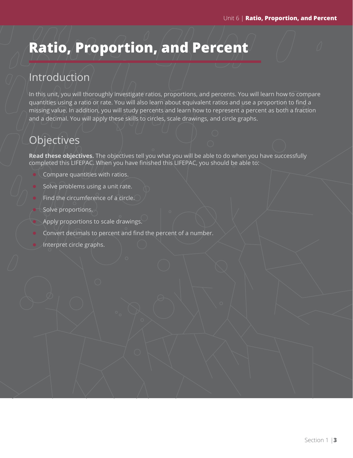# **Ratio, Proportion, and Percent**

# Introduction

In this unit, you will thoroughly investigate ratios, proportions, and percents. You will learn how to compare quantities using a ratio or rate. You will also learn about equivalent ratios and use a proportion to find a missing value. In addition, you will study percents and learn how to represent a percent as both a fraction and a decimal. You will apply these skills to circles, scale drawings, and circle graphs.

# **Objectives**

**Read these objectives.** The objectives tell you what you will be able to do when you have successfully completed this LIFEPAC. When you have finished this LIFEPAC, you should be able to:

- Compare quantities with ratios.
- Solve problems using a unit rate.
- Find the circumference of a circle.
- Solve proportions.
- $\bullet$  Apply proportions to scale drawings.
- Convert decimals to percent and find the percent of a number.
- Interpret circle graphs.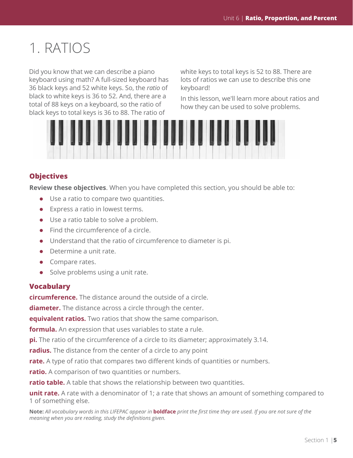# 1. RATIOS

Did you know that we can describe a piano keyboard using math? A full-sized keyboard has 36 black keys and 52 white keys. So, the *ratio* of black to white keys is 36 to 52. And, there are a total of 88 keys on a keyboard, so the ratio of black keys to total keys is 36 to 88. The ratio of

white keys to total keys is 52 to 88. There are lots of ratios we can use to describe this one keyboard!

In this lesson, we'll learn more about ratios and how they can be used to solve problems.



# **Objectives**

**Review these objectives**. When you have completed this section, you should be able to:

- $\bullet$  Use a ratio to compare two quantities.
- $\bullet$  Express a ratio in lowest terms.
- $\bullet$  Use a ratio table to solve a problem.
- $\bullet$  Find the circumference of a circle.
- $\bullet$  Understand that the ratio of circumference to diameter is pi.
- Determine a unit rate.
- $\bullet$  Compare rates.
- $\bullet$  Solve problems using a unit rate.

### **Vocabulary**

**circumference.** The distance around the outside of a circle.

**diameter.** The distance across a circle through the center.

**equivalent ratios.** Two ratios that show the same comparison.

**formula.** An expression that uses variables to state a rule.

**pi.** The ratio of the circumference of a circle to its diameter; approximately 3.14.

**radius.** The distance from the center of a circle to any point

**rate.** A type of ratio that compares two different kinds of quantities or numbers.

**ratio.** A comparison of two quantities or numbers.

**ratio table.** A table that shows the relationship between two quantities.

**unit rate.** A rate with a denominator of 1; a rate that shows an amount of something compared to 1 of something else.

**Note:** *All vocabulary words in this LIFEPAC appear in* **boldface** *print the first time they are used. If you are not sure of the meaning when you are reading, study the definitions given.*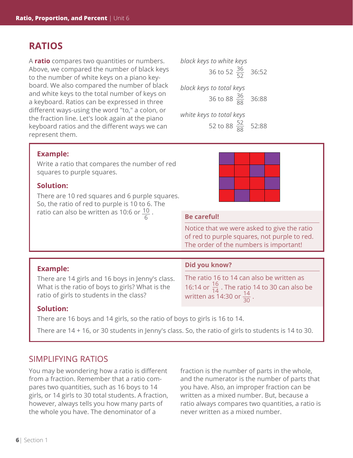# **RATIOS**

A **ratio** compares two quantities or numbers. Above, we compared the number of black keys to the number of white keys on a piano keyboard. We also compared the number of black and white keys to the total number of keys on a keyboard. Ratios can be expressed in three different ways-using the word "to," a colon, or the fraction line. Let's look again at the piano keyboard ratios and the different ways we can represent them.



## **Example:**

Write a ratio that compares the number of red squares to purple squares.

### **Solution:**

There are 10 red squares and 6 purple squares. So, the ratio of red to purple is 10 to 6. The ratio can also be written as 10:6 or  $\frac{10}{5}$ 



### Be careful!

Notice that we were asked to give the ratio of red to purple squares, not purple to red. The order of the numbers is important!

### **Example:**

There are 14 girls and 16 boys in Jenny's class. What is the ratio of boys to girls? What is the ratio of girls to students in the class?

#### **Did you know?**

The ratio 16 to 14 can also be written as 16:14 or  $\frac{16}{14}$  . The ratio 14 to 30 can also be written as 14:30 or  $\frac{14}{30}$ .

#### **Solution:**

There are 16 boys and 14 girls, so the ratio of boys to girls is 16 to 14.

There are 14 + 16, or 30 students in Jenny's class. So, the ratio of girls to students is 14 to 30.

# SIMPLIFYING RATIOS

You may be wondering how a ratio is different from a fraction. Remember that a ratio compares two quantities, such as 16 boys to 14 girls, or 14 girls to 30 total students. A fraction, however, always tells you how many parts of the whole you have. The denominator of a

fraction is the number of parts in the whole, and the numerator is the number of parts that you have. Also, an improper fraction can be written as a mixed number. But, because a ratio always compares two quantities, a ratio is never written as a mixed number.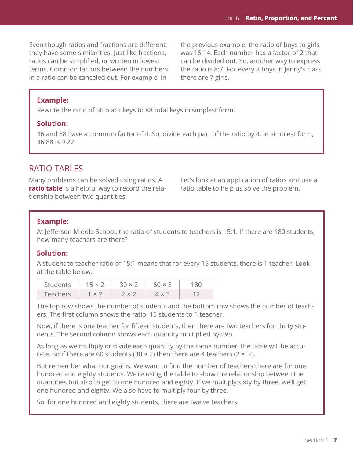Even though ratios and fractions are different, they have some similarities. Just like fractions, ratios can be simplified, or written in lowest terms. Common factors between the numbers in a ratio can be canceled out. For example, in

the previous example, the ratio of boys to girls was 16:14. Each number has a factor of 2 that can be divided out. So, another way to express the ratio is 8:7. For every 8 boys in Jenny's class, there are 7 girls.

### **Example:**

Rewrite the ratio of 36 black keys to 88 total keys in simplest form.

#### **Solution:**

36 and 88 have a common factor of 4. So, divide each part of the ratio by 4. In simplest form, 36:88 is 9:22.

# RATIO TABLES

Many problems can be solved using ratios. A **ratio table** is a helpful way to record the relationship between two quantities.

Let's look at an application of ratios and use a ratio table to help us solve the problem.

#### **Example:**

At Jefferson Middle School, the ratio of students to teachers is 15:1. If there are 180 students, how many teachers are there?

### **Solution:**

A student to teacher ratio of 15:1 means that for every 15 students, there is 1 teacher. Look at the table below.

| <b>Students</b> | $15 \times 2$ | $30 \times 2$                 | $60 \times 3$ |  |
|-----------------|---------------|-------------------------------|---------------|--|
| <b>Leachers</b> | $-1 \times 2$ | $\rightarrow$ x $\rightarrow$ |               |  |

The top row shows the number of students and the bottom row shows the number of teachers. The first column shows the ratio: 15 students to 1 teacher.

Now, if there is one teacher for fifteen students, then there are two teachers for thirty students. The second column shows each quantity multiplied by two.

As long as we multiply or divide each quantity by the same number, the table will be accurate. So if there are 60 students (30  $\times$  2) then there are 4 teachers (2  $\times$  2).

But remember what our goal is. We want to find the number of teachers there are for one hundred and eighty students. We're using the table to show the relationship between the quantities but also to get to one hundred and eighty. If we multiply sixty by three, we'll get one hundred and eighty. We also have to multiply four by three.

So, for one hundred and eighty students, there are twelve teachers.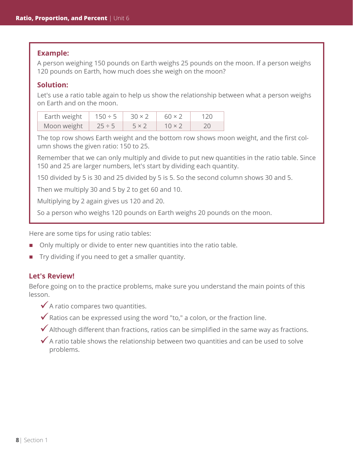#### **Example:**

A person weighing 150 pounds on Earth weighs 25 pounds on the moon. If a person weighs 120 pounds on Earth, how much does she weigh on the moon?

### **Solution:**

Let's use a ratio table again to help us show the relationship between what a person weighs on Earth and on the moon.

| Earth weight   $150 \div 5$   $30 \times 2$ |       | $60 \times 2$ | 120 |
|---------------------------------------------|-------|---------------|-----|
| Moon weight $\vert$ 25 ÷ 5                  | 5 x 2 | $10 \times 7$ |     |

The top row shows Earth weight and the bottom row shows moon weight, and the first column shows the given ratio: 150 to 25.

Remember that we can only multiply and divide to put new quantities in the ratio table. Since 150 and 25 are larger numbers, let's start by dividing each quantity.

150 divided by 5 is 30 and 25 divided by 5 is 5. So the second column shows 30 and 5.

Then we multiply 30 and 5 by 2 to get 60 and 10.

Multiplying by 2 again gives us 120 and 20.

So a person who weighs 120 pounds on Earth weighs 20 pounds on the moon.

Here are some tips for using ratio tables:

- Only multiply or divide to enter new quantities into the ratio table.
- **Try dividing if you need to get a smaller quantity.**

#### **Let's Review!**

Before going on to the practice problems, make sure you understand the main points of this lesson.

- $\checkmark$  A ratio compares two quantities.
- $\checkmark$  Ratios can be expressed using the word "to," a colon, or the fraction line.
- $\blacktriangleright$  Although different than fractions, ratios can be simplified in the same way as fractions.
- $\checkmark$  A ratio table shows the relationship between two quantities and can be used to solve problems.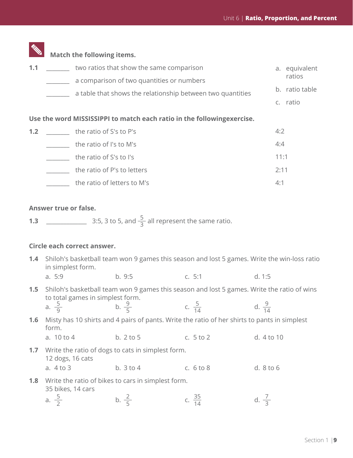|     | <b>Match the following items.</b>                                       |      |                |
|-----|-------------------------------------------------------------------------|------|----------------|
| 1.1 | two ratios that show the same comparison                                |      | a. equivalent  |
|     | a comparison of two quantities or numbers                               |      | ratios         |
|     | a table that shows the relationship between two quantities              |      | b. ratio table |
|     |                                                                         |      | c. ratio       |
|     | Use the word MISSISSIPPI to match each ratio in the following exercise. |      |                |
| 1.2 | the ratio of S's to P's                                                 | 4:2  |                |
|     | the ratio of I's to M's                                                 | 4:4  |                |
|     | the ratio of S's to I's                                                 | 11:1 |                |
|     |                                                                         |      |                |

| the ratio of P's to letters | 2:11 |
|-----------------------------|------|
| the ratio of letters to M's |      |

## **Answer true or false.**

**1.3** \_\_\_\_\_\_\_\_\_\_\_\_\_\_ 3:5, 3 to 5, and \_\_\_5 <sup>3</sup> all represent the same ratio.

## **Circle each correct answer.**

|     | 1.4 Shiloh's basketball team won 9 games this season and lost 5 games. Write the win-loss ratio<br>in simplest form. |                                                                                                                |                    |                   |  |
|-----|----------------------------------------------------------------------------------------------------------------------|----------------------------------------------------------------------------------------------------------------|--------------------|-------------------|--|
|     | a. 5:9                                                                                                               | b.9:5                                                                                                          | c. 5:1             | d. 1:5            |  |
| 1.5 | to total games in simplest form.<br>a. $\frac{5}{9}$                                                                 | Shiloh's basketball team won 9 games this season and lost 5 games. Write the ratio of wins<br>b. $\frac{9}{5}$ | c. $\frac{5}{14}$  | d. $\frac{9}{14}$ |  |
| 1.6 | form.<br>a. 10 to 4                                                                                                  | Misty has 10 shirts and 4 pairs of pants. Write the ratio of her shirts to pants in simplest<br>b. 2 to 5      | c. $5$ to $2$      | d. 4 to 10        |  |
|     | <b>1.7</b> Write the ratio of dogs to cats in simplest form.<br>12 dogs, 16 cats<br>a. 4 to 3                        | b. $3$ to $4$                                                                                                  | c. $6$ to $8$      | d. 8 to 6         |  |
| 1.8 | 35 bikes, 14 cars                                                                                                    | Write the ratio of bikes to cars in simplest form.                                                             |                    |                   |  |
|     | a. $\frac{5}{2}$                                                                                                     | b. $\frac{2}{5}$                                                                                               | c. $\frac{35}{14}$ | d. $\frac{7}{2}$  |  |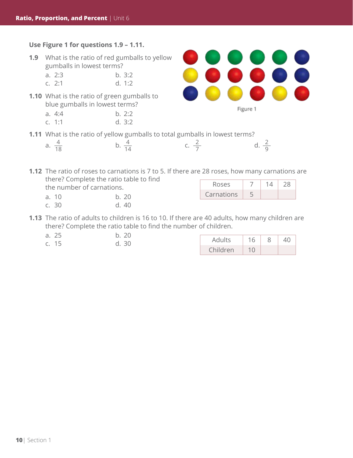### **Use Figure 1 for questions 1.9 – 1.11.**

- **1.9** What is the ratio of red gumballs to yellow gumballs in lowest terms?
	- a. 2:3 b. 3:2 c. 2:1 d. 1:2
- **1.10** What is the ratio of green gumballs to blue gumballs in lowest terms?

| a. 4:4 | b. 2:2 |
|--------|--------|
| c. 1:1 | d. 3:2 |

**1.11** What is the ratio of yellow gumballs to total gumballs in lowest terms?

b.  $\frac{4}{14}$ 

a.  $\frac{4}{18}$ 



Figure 1

ŏ

**1.12** The ratio of roses to carnations is 7 to 5. If there are 28 roses, how many carnations are there? Complete the ratio table to find

the number of carnations.

- a. 10 b. 20
- c. 30 d. 40

| <b>Roses</b> |  |  |
|--------------|--|--|
| Carnations   |  |  |

**1.13** The ratio of adults to children is 16 to 10. If there are 40 adults, how many children are there? Complete the ratio table to find the number of children.

| a. 25 |  | b. 20 |  |
|-------|--|-------|--|
|       |  |       |  |

| .<br>a.<br>c. 15 | .<br>30 | Adults   | 16 | ŏ | 40 |  |
|------------------|---------|----------|----|---|----|--|
|                  |         | Children |    |   |    |  |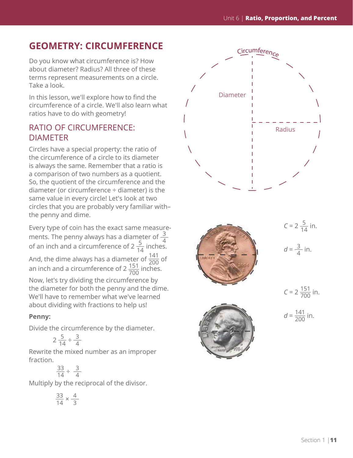# **GEOMETRY: CIRCUMFERENCE**

Do you know what circumference is? How about diameter? Radius? All three of these terms represent measurements on a circle. Take a look.

In this lesson, we'll explore how to find the circumference of a circle. We'll also learn what ratios have to do with geometry!

# RATIO OF CIRCUMFERENCE: DIAMETER

Circles have a special property: the ratio of the circumference of a circle to its diameter is always the same. Remember that a ratio is a comparison of two numbers as a quotient. So, the quotient of the circumference and the diameter (or circumference ÷ diameter) is the same value in every circle! Let's look at two circles that you are probably very familiar with– the penny and dime.

Every type of coin has the exact same measurements. The penny always has a diameter of  $\frac{3}{4}$ <br>of an inch and a circumference of 2  $\frac{5}{14}$  inches.

And, the dime always has a diameter of  $\frac{141}{200}$  of an inch and a circumference of 2  $\frac{151}{700}$  inches.

Now, let's try dividing the circumference by the diameter for both the penny and the dime. We'll have to remember what we've learned about dividing with fractions to help us!

## **Penny:**

Divide the circumference by the diameter.

$$
2\frac{5}{14} \div \frac{3}{4}
$$

Rewrite the mixed number as an improper fraction.

 $\frac{33}{14} \div \frac{3}{4}$ 

Multiply by the reciprocal of the divisor.

$$
\frac{33}{14} \times \frac{4}{3}
$$

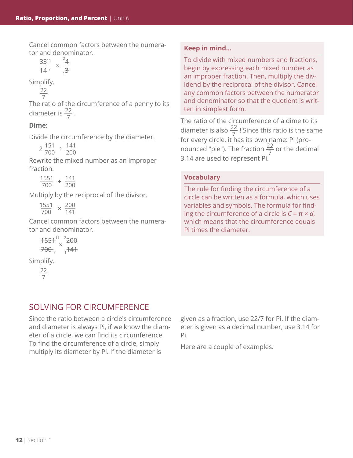Cancel common factors between the numerator and denominator.

$$
\frac{33^{11}}{14^7} \times \frac{24}{1^3}
$$

Simplify.

$$
\frac{22}{7}
$$

The ratio of the circumference of a penny to its diameter is  $\frac{22}{7}$ .

## **Dime:**

Divide the circumference by the diameter.

 $2 \frac{151}{700} \div \frac{141}{200}$ 200

Rewrite the mixed number as an improper fraction.

 $\frac{1551}{700} \div \frac{141}{200}$ 200

Multiply by the reciprocal of the divisor.

 $\frac{1551}{700} \times \frac{200}{141}$ 141

Cancel common factors between the numerator and denominator.

| $+554^{11}$                      | $\rightarrow$ |
|----------------------------------|---------------|
| $+\!\!+\!\!-\!\!-\!\!-\!\!-\!\!$ | 47            |
| ↔                                | and a         |

Simplify.

\_\_\_ 22 7

# SOLVING FOR CIRCUMFERENCE

Since the ratio between a circle's circumference and diameter is always Pi, if we know the diameter of a circle, we can find its circumference. To find the circumference of a circle, simply multiply its diameter by Pi. If the diameter is

given as a fraction, use 22/7 for Pi. If the diameter is given as a decimal number, use 3.14 for Pi.

Here are a couple of examples.

## **Keep in mind...**

To divide with mixed numbers and fractions, begin by expressing each mixed number as an improper fraction. Then, multiply the dividend by the reciprocal of the divisor. Cancel any common factors between the numerator and denominator so that the quotient is written in simplest form.

The ratio of the circumference of a dime to its diameter is also  $\frac{22}{7}$ ! Since this ratio is the same for every circle, it has its own name: Pi (pronounced "pie"). The fraction  $\frac{22}{7}$  or the decimal 3.14 are used to represent Pi.

## **Vocabulary**

The rule for finding the circumference of a circle can be written as a formula, which uses variables and symbols. The formula for finding the circumference of a circle is *C* = π × *d*, which means that the circumference equals Pi times the diameter.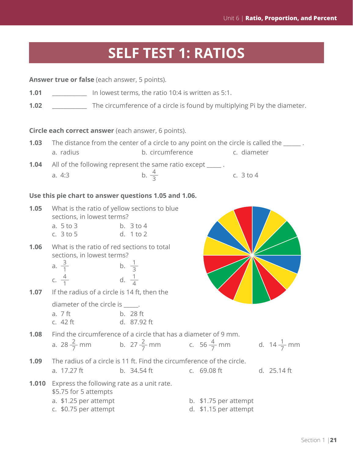# **SELF TEST 1: RATIOS**

|      | <b>Answer true or false</b> (each answer, 5 points).                                                                               |                                                                                                                |                                                |                       |  |
|------|------------------------------------------------------------------------------------------------------------------------------------|----------------------------------------------------------------------------------------------------------------|------------------------------------------------|-----------------------|--|
| 1.01 | In lowest terms, the ratio 10:4 is written as 5:1.                                                                                 |                                                                                                                |                                                |                       |  |
| 1.02 |                                                                                                                                    | The circumference of a circle is found by multiplying Pi by the diameter.                                      |                                                |                       |  |
|      |                                                                                                                                    | Circle each correct answer (each answer, 6 points).                                                            |                                                |                       |  |
| 1.03 | a. radius                                                                                                                          | The distance from the center of a circle to any point on the circle is called the ______.<br>b. circumference  | c. diameter                                    |                       |  |
| 1.04 | a. 4:3                                                                                                                             | All of the following represent the same ratio except _____.<br>b. $\frac{4}{3}$                                | c. $3$ to $4$                                  |                       |  |
|      |                                                                                                                                    | Use this pie chart to answer questions 1.05 and 1.06.                                                          |                                                |                       |  |
| 1.05 | What is the ratio of yellow sections to blue<br>sections, in lowest terms?<br>a. 5 to 3<br>c. $3 to 5$                             | b. $3$ to $4$<br>d. 1 to 2                                                                                     |                                                |                       |  |
| 1.06 | What is the ratio of red sections to total<br>sections, in lowest terms?<br>a. $\frac{3}{1}$<br>c. $\frac{4}{1}$                   | b. $\frac{1}{3}$<br>d. $\frac{1}{4}$                                                                           |                                                |                       |  |
| 1.07 | If the radius of a circle is 14 ft, then the<br>diameter of the circle is _____.<br>a. 7 ft<br>c. 42 ft                            | b. 28 ft<br>d. 87.92 ft                                                                                        |                                                |                       |  |
| 1.08 | a. 28 $\frac{2}{7}$ mm                                                                                                             | Find the circumference of a circle that has a diameter of 9 mm.<br>b. $27\frac{2}{7}$ mm c. $56\frac{4}{7}$ mm |                                                | d. $14\frac{1}{7}$ mm |  |
| 1.09 | a. 17.27 ft                                                                                                                        | The radius of a circle is 11 ft. Find the circumference of the circle.<br>b. $34.54 \text{ ft}$                | c. 69.08 ft                                    | d. 25.14 ft           |  |
|      | <b>1.010</b> Express the following rate as a unit rate.<br>\$5.75 for 5 attempts<br>a. \$1.25 per attempt<br>c. \$0.75 per attempt |                                                                                                                | b. \$1.75 per attempt<br>d. \$1.15 per attempt |                       |  |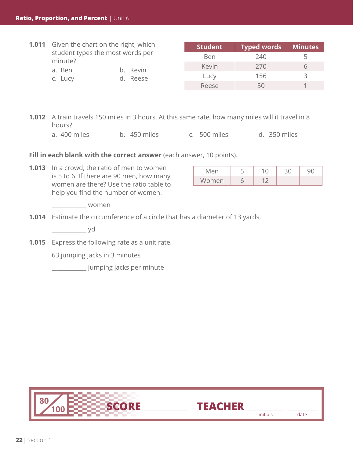|  | <b>1.011</b> Given the chart on the right, which                                         |  | <b>Student</b> | <b>Typed words</b> | <b>Minutes</b> |
|--|------------------------------------------------------------------------------------------|--|----------------|--------------------|----------------|
|  | student types the most words per<br>minute?<br>b. Kevin<br>a. Ben<br>d. Reese<br>c. Lucy |  | <b>Ben</b>     | 240                | 5              |
|  |                                                                                          |  | Kevin          | 270                | 6              |
|  |                                                                                          |  | Lucy           | 156                | ₹              |
|  |                                                                                          |  | Reese          | 50                 |                |

- **1.012** A train travels 150 miles in 3 hours. At this same rate, how many miles will it travel in 8 hours?
	- a. 400 miles b. 450 miles c. 500 miles d. 350 miles

Fill in each blank with the correct answer (each answer, 10 points).

**1.013** In a crowd, the ratio of men to women is 5 to 6. If there are 90 men, how many women are there? Use the ratio table to help you find the number of women.

| Men   |  |  |
|-------|--|--|
| Women |  |  |

\_\_\_\_\_\_\_\_\_\_\_\_ women

**1.014** Estimate the circumference of a circle that has a diameter of 13 yards.

\_\_\_\_\_\_\_\_\_\_\_\_ yd

**1.015** Express the following rate as a unit rate.

63 jumping jacks in 3 minutes

\_\_\_\_\_\_\_\_\_\_\_\_ jumping jacks per minute